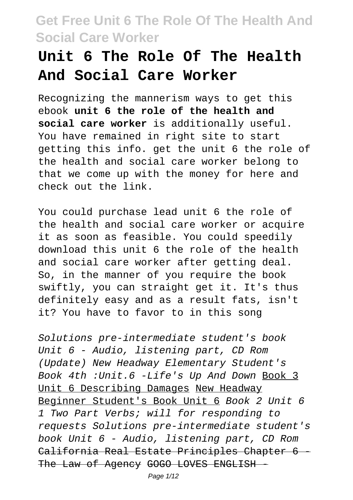# **Unit 6 The Role Of The Health And Social Care Worker**

Recognizing the mannerism ways to get this ebook **unit 6 the role of the health and social care worker** is additionally useful. You have remained in right site to start getting this info. get the unit 6 the role of the health and social care worker belong to that we come up with the money for here and check out the link.

You could purchase lead unit 6 the role of the health and social care worker or acquire it as soon as feasible. You could speedily download this unit 6 the role of the health and social care worker after getting deal. So, in the manner of you require the book swiftly, you can straight get it. It's thus definitely easy and as a result fats, isn't it? You have to favor to in this song

Solutions pre-intermediate student's book Unit 6 - Audio, listening part, CD Rom (Update) New Headway Elementary Student's Book 4th :Unit.6 -Life's Up And Down Book 3 Unit 6 Describing Damages New Headway Beginner Student's Book Unit 6 Book 2 Unit 6 1 Two Part Verbs; will for responding to requests Solutions pre-intermediate student's book Unit 6 - Audio, listening part, CD Rom California Real Estate Principles Chapter 6 -The Law of Agency GOGO LOVES ENGLISH

Page 1/12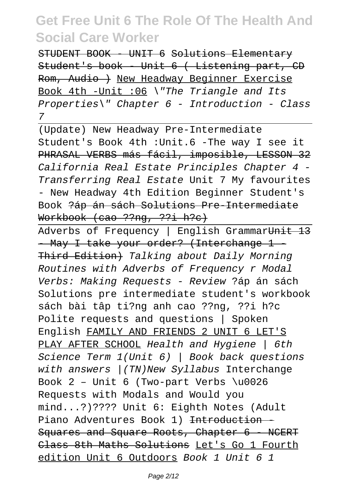STUDENT BOOK - UNIT 6 Solutions Elementary Student's book - Unit 6 ( Listening part, CD Rom, Audio ) New Headway Beginner Exercise Book 4th -Unit :06 \"The Triangle and Its Properties\" Chapter 6 - Introduction - Class 7

(Update) New Headway Pre-Intermediate Student's Book 4th :Unit.6 -The way I see it PHRASAL VERBS más fácil, imposible, LESSON 32 California Real Estate Principles Chapter 4 - Transferring Real Estate Unit 7 My favourites - New Headway 4th Edition Beginner Student's Book ?áp án sách Solutions Pre-Intermediate Workbook (cao ??ng, ??i h?c)

Adverbs of Frequency | English GrammarUnit 13 - May I take your order? (Interchange 1 -Third Edition) Talking about Daily Morning Routines with Adverbs of Frequency r Modal Verbs: Making Requests - Review ?áp án sách Solutions pre intermediate student's workbook sách bài tâp ti?ng anh cao ??ng, ??i h?c Polite requests and questions | Spoken English FAMILY AND FRIENDS 2 UNIT 6 LET'S PLAY AFTER SCHOOL Health and Hygiene | 6th Science Term 1(Unit 6) | Book back questions with answers / (TN)New Syllabus Interchange Book  $2$  - Unit 6 (Two-part Verbs \u0026) Requests with Modals and Would you mind...?)???? Unit 6: Eighth Notes (Adult Piano Adventures Book 1) <del>Introduction</del> Squares and Square Roots, Chapter 6 - NCERT Class 8th Maths Solutions Let's Go 1 Fourth edition Unit 6 Outdoors Book 1 Unit 6 1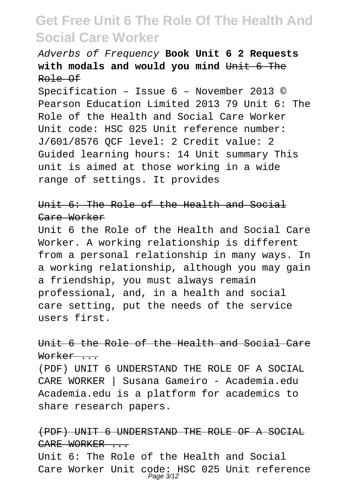### Adverbs of Frequency **Book Unit 6 2 Requests with modals and would you mind** Unit 6 The Role Of

Specification – Issue 6 – November 2013 © Pearson Education Limited 2013 79 Unit 6: The Role of the Health and Social Care Worker Unit code: HSC 025 Unit reference number: J/601/8576 QCF level: 2 Credit value: 2 Guided learning hours: 14 Unit summary This unit is aimed at those working in a wide range of settings. It provides

### Unit 6: The Role of the Health and Social Care Worker

Unit 6 the Role of the Health and Social Care Worker. A working relationship is different from a personal relationship in many ways. In a working relationship, although you may gain a friendship, you must always remain professional, and, in a health and social care setting, put the needs of the service users first.

#### Unit 6 the Role of the Health and Social Care Worker ...

(PDF) UNIT 6 UNDERSTAND THE ROLE OF A SOCIAL CARE WORKER | Susana Gameiro - Academia.edu Academia.edu is a platform for academics to share research papers.

#### (PDF) UNIT 6 UNDERSTAND THE ROLE OF A SOCIAL CARE WORKER ...

Unit 6: The Role of the Health and Social Care Worker Unit code: HSC 025 Unit reference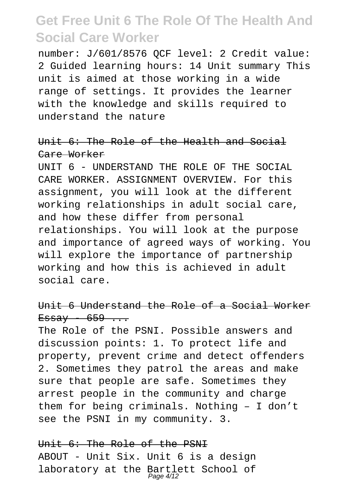number: J/601/8576 QCF level: 2 Credit value: 2 Guided learning hours: 14 Unit summary This unit is aimed at those working in a wide range of settings. It provides the learner with the knowledge and skills required to understand the nature

#### Unit 6: The Role of the Health and Social Care Worker

UNIT 6 - UNDERSTAND THE ROLE OF THE SOCIAL CARE WORKER. ASSIGNMENT OVERVIEW. For this assignment, you will look at the different working relationships in adult social care, and how these differ from personal relationships. You will look at the purpose and importance of agreed ways of working. You will explore the importance of partnership working and how this is achieved in adult social care.

#### Unit 6 Understand the Role of a Social Worker  $E$ ssay 659...

The Role of the PSNI. Possible answers and discussion points: 1. To protect life and property, prevent crime and detect offenders 2. Sometimes they patrol the areas and make sure that people are safe. Sometimes they arrest people in the community and charge them for being criminals. Nothing – I don't see the PSNI in my community. 3.

### Unit 6: The Role of the PSNI ABOUT - Unit Six. Unit 6 is a design laboratory at the Bartlett School of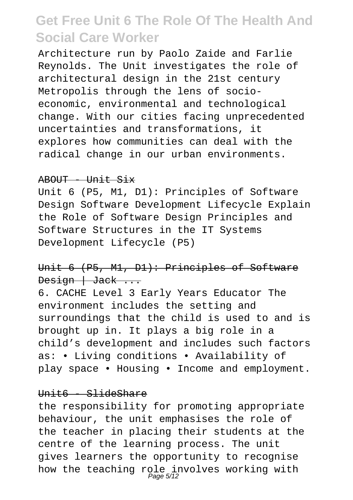Architecture run by Paolo Zaide and Farlie Reynolds. The Unit investigates the role of architectural design in the 21st century Metropolis through the lens of socioeconomic, environmental and technological change. With our cities facing unprecedented uncertainties and transformations, it explores how communities can deal with the radical change in our urban environments.

#### ABOUT - Unit Six

Unit 6 (P5, M1, D1): Principles of Software Design Software Development Lifecycle Explain the Role of Software Design Principles and Software Structures in the IT Systems Development Lifecycle (P5)

### Unit 6 (P5, M1, D1): Principles of Software Design | Jack ...

6. CACHE Level 3 Early Years Educator The environment includes the setting and surroundings that the child is used to and is brought up in. It plays a big role in a child's development and includes such factors as: • Living conditions • Availability of play space • Housing • Income and employment.

#### $Hint6 - SlideShare$

the responsibility for promoting appropriate behaviour, the unit emphasises the role of the teacher in placing their students at the centre of the learning process. The unit gives learners the opportunity to recognise how the teaching role involves working with<br>Page5/12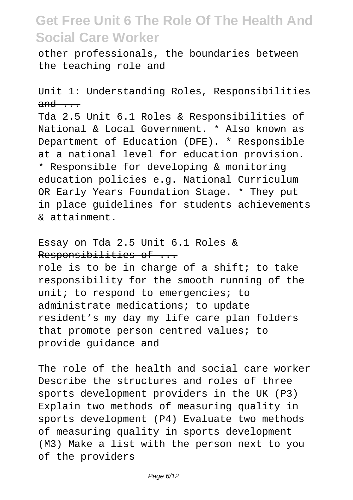other professionals, the boundaries between the teaching role and

### Unit 1: Understanding Roles, Responsibilities  $and \ldots$

Tda 2.5 Unit 6.1 Roles & Responsibilities of National & Local Government. \* Also known as Department of Education (DFE). \* Responsible at a national level for education provision. \* Responsible for developing & monitoring education policies e.g. National Curriculum OR Early Years Foundation Stage. \* They put in place guidelines for students achievements & attainment.

#### Essay on Tda 2.5 Unit 6.1 Roles & Responsibilities of ...

role is to be in charge of a shift; to take responsibility for the smooth running of the unit; to respond to emergencies; to administrate medications; to update resident's my day my life care plan folders that promote person centred values; to provide guidance and

The role of the health and social care worker Describe the structures and roles of three sports development providers in the UK (P3) Explain two methods of measuring quality in sports development (P4) Evaluate two methods of measuring quality in sports development (M3) Make a list with the person next to you of the providers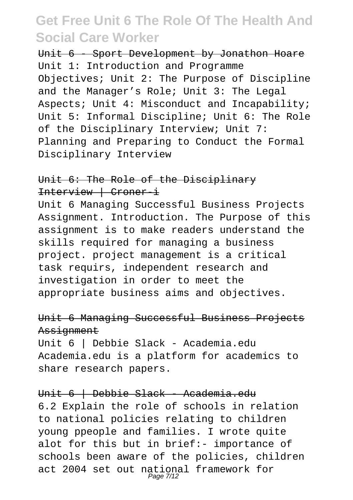Unit 6 - Sport Development by Jonathon Hoare Unit 1: Introduction and Programme Objectives; Unit 2: The Purpose of Discipline and the Manager's Role; Unit 3: The Legal Aspects; Unit 4: Misconduct and Incapability; Unit 5: Informal Discipline; Unit 6: The Role of the Disciplinary Interview; Unit 7: Planning and Preparing to Conduct the Formal Disciplinary Interview

#### Unit 6: The Role of the Disciplinary Interview | Croner-i

Unit 6 Managing Successful Business Projects Assignment. Introduction. The Purpose of this assignment is to make readers understand the skills required for managing a business project. project management is a critical task requirs, independent research and investigation in order to meet the appropriate business aims and objectives.

#### Unit 6 Managing Successful Business Projects Assignment

Unit 6 | Debbie Slack - Academia.edu Academia.edu is a platform for academics to share research papers.

#### Unit 6 | Debbie Slack - Academia.edu

6.2 Explain the role of schools in relation to national policies relating to children young ppeople and families. I wrote quite alot for this but in brief:- importance of schools been aware of the policies, children act 2004 set out national framework for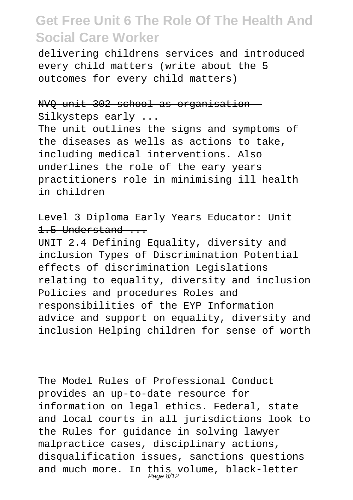delivering childrens services and introduced every child matters (write about the 5 outcomes for every child matters)

#### NVO unit 302 school as organisation Silkysteps early ...

The unit outlines the signs and symptoms of the diseases as wells as actions to take, including medical interventions. Also underlines the role of the eary years practitioners role in minimising ill health in children

#### Level 3 Diploma Early Years Educator: Unit 1.5 Understand ...

UNIT 2.4 Defining Equality, diversity and inclusion Types of Discrimination Potential effects of discrimination Legislations relating to equality, diversity and inclusion Policies and procedures Roles and responsibilities of the EYP Information advice and support on equality, diversity and inclusion Helping children for sense of worth

The Model Rules of Professional Conduct provides an up-to-date resource for information on legal ethics. Federal, state and local courts in all jurisdictions look to the Rules for guidance in solving lawyer malpractice cases, disciplinary actions, disqualification issues, sanctions questions and much more. In this volume, black-letter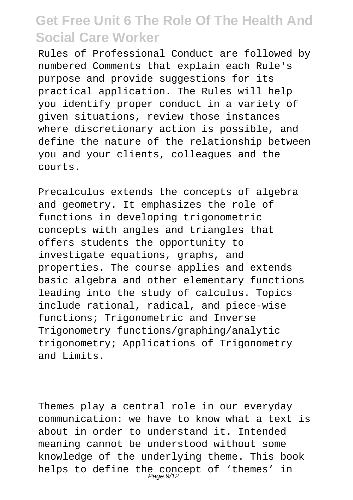Rules of Professional Conduct are followed by numbered Comments that explain each Rule's purpose and provide suggestions for its practical application. The Rules will help you identify proper conduct in a variety of given situations, review those instances where discretionary action is possible, and define the nature of the relationship between you and your clients, colleagues and the courts.

Precalculus extends the concepts of algebra and geometry. It emphasizes the role of functions in developing trigonometric concepts with angles and triangles that offers students the opportunity to investigate equations, graphs, and properties. The course applies and extends basic algebra and other elementary functions leading into the study of calculus. Topics include rational, radical, and piece-wise functions; Trigonometric and Inverse Trigonometry functions/graphing/analytic trigonometry; Applications of Trigonometry and Limits.

Themes play a central role in our everyday communication: we have to know what a text is about in order to understand it. Intended meaning cannot be understood without some knowledge of the underlying theme. This book helps to define the concept of 'themes' in<br>Page 9/12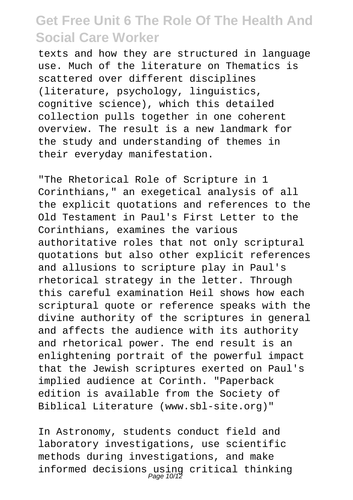texts and how they are structured in language use. Much of the literature on Thematics is scattered over different disciplines (literature, psychology, linguistics, cognitive science), which this detailed collection pulls together in one coherent overview. The result is a new landmark for the study and understanding of themes in their everyday manifestation.

"The Rhetorical Role of Scripture in 1 Corinthians," an exegetical analysis of all the explicit quotations and references to the Old Testament in Paul's First Letter to the Corinthians, examines the various authoritative roles that not only scriptural quotations but also other explicit references and allusions to scripture play in Paul's rhetorical strategy in the letter. Through this careful examination Heil shows how each scriptural quote or reference speaks with the divine authority of the scriptures in general and affects the audience with its authority and rhetorical power. The end result is an enlightening portrait of the powerful impact that the Jewish scriptures exerted on Paul's implied audience at Corinth. "Paperback edition is available from the Society of Biblical Literature (www.sbl-site.org)"

In Astronomy, students conduct field and laboratory investigations, use scientific methods during investigations, and make informed decisions using critical thinking Page 10/12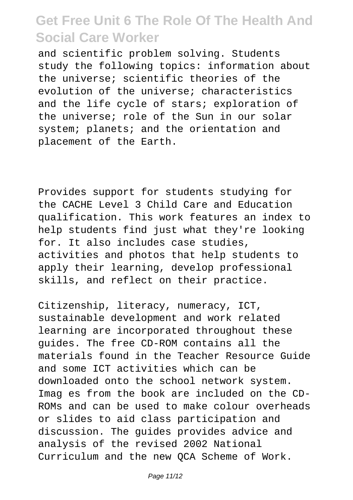and scientific problem solving. Students study the following topics: information about the universe; scientific theories of the evolution of the universe; characteristics and the life cycle of stars; exploration of the universe; role of the Sun in our solar system; planets; and the orientation and placement of the Earth.

Provides support for students studying for the CACHE Level 3 Child Care and Education qualification. This work features an index to help students find just what they're looking for. It also includes case studies, activities and photos that help students to apply their learning, develop professional skills, and reflect on their practice.

Citizenship, literacy, numeracy, ICT, sustainable development and work related learning are incorporated throughout these guides. The free CD-ROM contains all the materials found in the Teacher Resource Guide and some ICT activities which can be downloaded onto the school network system. Imag es from the book are included on the CD-ROMs and can be used to make colour overheads or slides to aid class participation and discussion. The guides provides advice and analysis of the revised 2002 National Curriculum and the new QCA Scheme of Work.